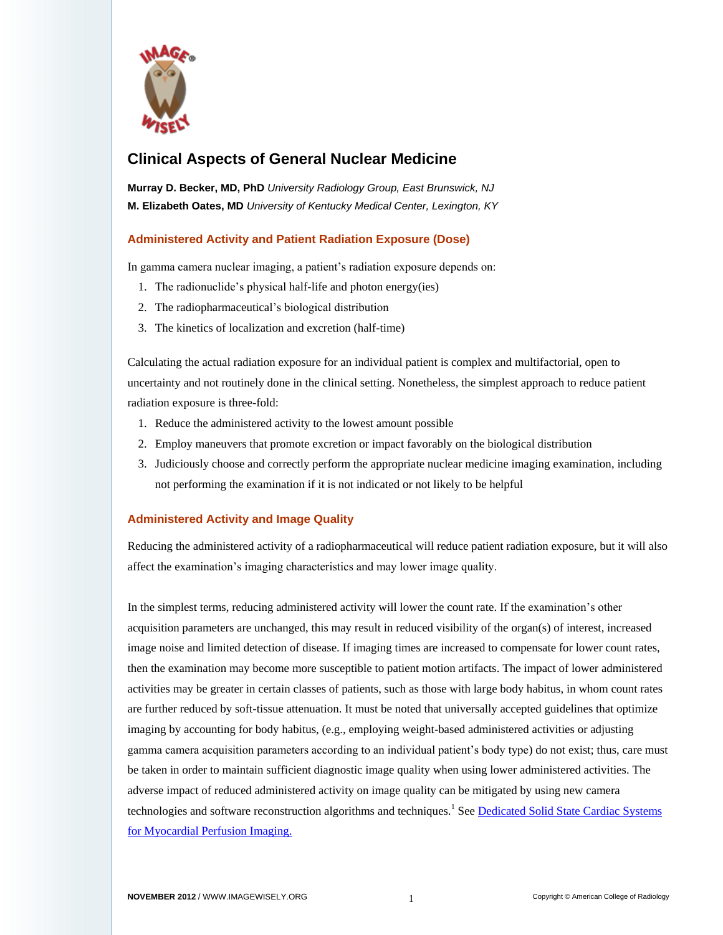

# **Clinical Aspects of General Nuclear Medicine**

**Murray D. Becker, MD, PhD** *University Radiology Group, East Brunswick, NJ* **M. Elizabeth Oates, MD** *University of Kentucky Medical Center, Lexington, KY*

### **Administered Activity and Patient Radiation Exposure (Dose)**

In gamma camera nuclear imaging, a patient's radiation exposure depends on:

- 1. The radionuclide's physical half-life and photon energy(ies)
- 2. The radiopharmaceutical's biological distribution
- 3. The kinetics of localization and excretion (half-time)

Calculating the actual radiation exposure for an individual patient is complex and multifactorial, open to uncertainty and not routinely done in the clinical setting. Nonetheless, the simplest approach to reduce patient radiation exposure is three-fold:

- 1. Reduce the administered activity to the lowest amount possible
- 2. Employ maneuvers that promote excretion or impact favorably on the biological distribution
- 3. Judiciously choose and correctly perform the appropriate nuclear medicine imaging examination, including not performing the examination if it is not indicated or not likely to be helpful

## **Administered Activity and Image Quality**

Reducing the administered activity of a radiopharmaceutical will reduce patient radiation exposure, but it will also affect the examination's imaging characteristics and may lower image quality.

In the simplest terms, reducing administered activity will lower the count rate. If the examination's other acquisition parameters are unchanged, this may result in reduced visibility of the organ(s) of interest, increased image noise and limited detection of disease. If imaging times are increased to compensate for lower count rates, then the examination may become more susceptible to patient motion artifacts. The impact of lower administered activities may be greater in certain classes of patients, such as those with large body habitus, in whom count rates are further reduced by soft-tissue attenuation. It must be noted that universally accepted guidelines that optimize imaging by accounting for body habitus, (e.g., employing weight-based administered activities or adjusting gamma camera acquisition parameters according to an individual patient's body type) do not exist; thus, care must be taken in order to maintain sufficient diagnostic image quality when using lower administered activities. The adverse impact of reduced administered activity on image quality can be mitigated by using new camera technologies and software reconstruction algorithms and techniques.<sup>1</sup> See Dedicated Solid State Cardiac Systems [for Myocardial Perfusion Imaging.](http://www.imagewisely.org/Imaging-Professionals/Nuclear-Medicine/Articles/Dedicated-Solid-State)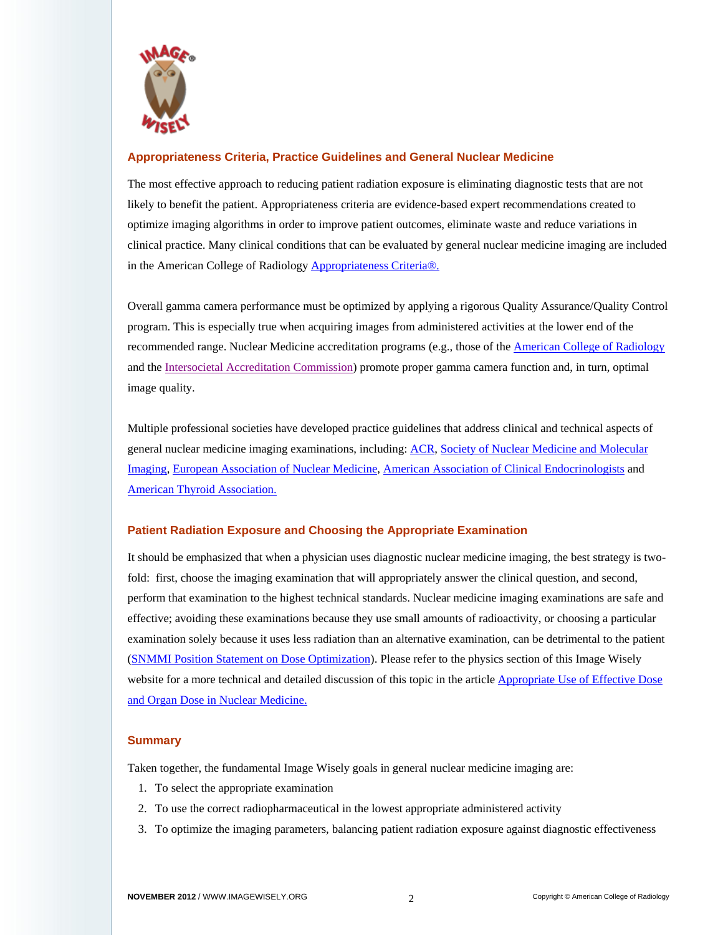

#### **Appropriateness Criteria, Practice Guidelines and General Nuclear Medicine**

The most effective approach to reducing patient radiation exposure is eliminating diagnostic tests that are not likely to benefit the patient. Appropriateness criteria are evidence-based expert recommendations created to optimize imaging algorithms in order to improve patient outcomes, eliminate waste and reduce variations in clinical practice. Many clinical conditions that can be evaluated by general nuclear medicine imaging are included in the American College of Radiolog[y Appropriateness Criteria®.](http://www.acr.org/Quality-Safety/Appropriateness-Criteria)

Overall gamma camera performance must be optimized by applying a rigorous Quality Assurance/Quality Control program. This is especially true when acquiring images from administered activities at the lower end of the recommended range. Nuclear Medicine accreditation programs (e.g., those of the [American College of Radiology](http://www.acr.org/Quality-Safety/Accreditation/Nuclear-Med-PET) and th[e Intersocietal Accreditation Commission\)](http://intersocietal.org/nuclear/) promote proper gamma camera function and, in turn, optimal image quality.

Multiple professional societies have developed practice guidelines that address clinical and technical aspects of general nuclear medicine imaging examinations, including[: ACR,](http://www.acr.org/Quality-Safety/Standards-Guidelines/Practice-Guidelines-by-Modality/Nuclear-Medicine) [Society of Nuclear Medicine and Molecular](http://interactive.snm.org/index.cfm?PageID=772)  [Imaging,](http://interactive.snm.org/index.cfm?PageID=772) [European Association of Nuclear Medicine,](http://www.eanm.org/publications/guidelines/index.php) [American Association of Clinical Endocrinologists](https://www.aace.com/publications/guidelines) and [American Thyroid Association.](http://thyroidguidelines.net/)

#### **Patient Radiation Exposure and Choosing the Appropriate Examination**

It should be emphasized that when a physician uses diagnostic nuclear medicine imaging, the best strategy is twofold: first, choose the imaging examination that will appropriately answer the clinical question, and second, perform that examination to the highest technical standards. Nuclear medicine imaging examinations are safe and effective; avoiding these examinations because they use small amounts of radioactivity, or choosing a particular examination solely because it uses less radiation than an alternative examination, can be detrimental to the patient [\(SNMMI Position Statement on Dose Optimization\)](http://interactive.snm.org/docs/SNM_Position_Statement_on_Dose_Optimization_FINAL_June2012.pdf). Please refer to the physics section of this Image Wisely website for a more technical and detailed discussion of this topic in the article Appropriate Use of Effective Dose [and Organ Dose in Nuclear Medicine.](http://www.imagewisely.org/Imaging-Professionals/Nuclear-Medicine/Articles/Appropriate-Use)

#### **Summary**

Taken together, the fundamental Image Wisely goals in general nuclear medicine imaging are:

- 1. To select the appropriate examination
- 2. To use the correct radiopharmaceutical in the lowest appropriate administered activity
- 3. To optimize the imaging parameters, balancing patient radiation exposure against diagnostic effectiveness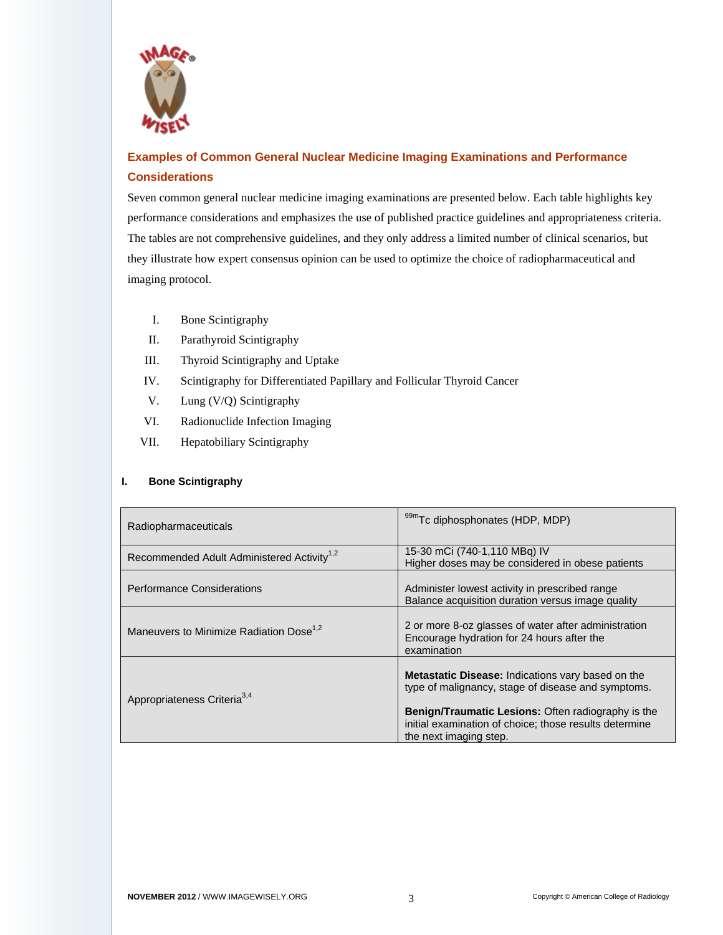

# **Examples of Common General Nuclear Medicine Imaging Examinations and Performance Considerations**

Seven common general nuclear medicine imaging examinations are presented below. Each table highlights key performance considerations and emphasizes the use of published practice guidelines and appropriateness criteria. The tables are not comprehensive guidelines, and they only address a limited number of clinical scenarios, but they illustrate how expert consensus opinion can be used to optimize the choice of radiopharmaceutical and imaging protocol.

- I. Bone Scintigraphy
- II. Parathyroid Scintigraphy
- III. Thyroid Scintigraphy and Uptake
- IV. Scintigraphy for Differentiated Papillary and Follicular Thyroid Cancer
- V. Lung (V/Q) Scintigraphy
- VI. Radionuclide Infection Imaging
- VII. Hepatobiliary Scintigraphy

#### **I. Bone Scintigraphy**

| Radiopharmaceuticals                                   | 99mTc diphosphonates (HDP, MDP)                                                                                                                                                                                                                                 |
|--------------------------------------------------------|-----------------------------------------------------------------------------------------------------------------------------------------------------------------------------------------------------------------------------------------------------------------|
| Recommended Adult Administered Activity <sup>1,2</sup> | 15-30 mCi (740-1,110 MBq) IV<br>Higher doses may be considered in obese patients                                                                                                                                                                                |
| <b>Performance Considerations</b>                      | Administer lowest activity in prescribed range<br>Balance acquisition duration versus image quality                                                                                                                                                             |
| Maneuvers to Minimize Radiation Dose <sup>1,2</sup>    | 2 or more 8-oz glasses of water after administration<br>Encourage hydration for 24 hours after the<br>examination                                                                                                                                               |
| Appropriateness Criteria <sup>3,4</sup>                | <b>Metastatic Disease:</b> Indications vary based on the<br>type of malignancy, stage of disease and symptoms.<br><b>Benign/Traumatic Lesions: Often radiography is the</b><br>initial examination of choice; those results determine<br>the next imaging step. |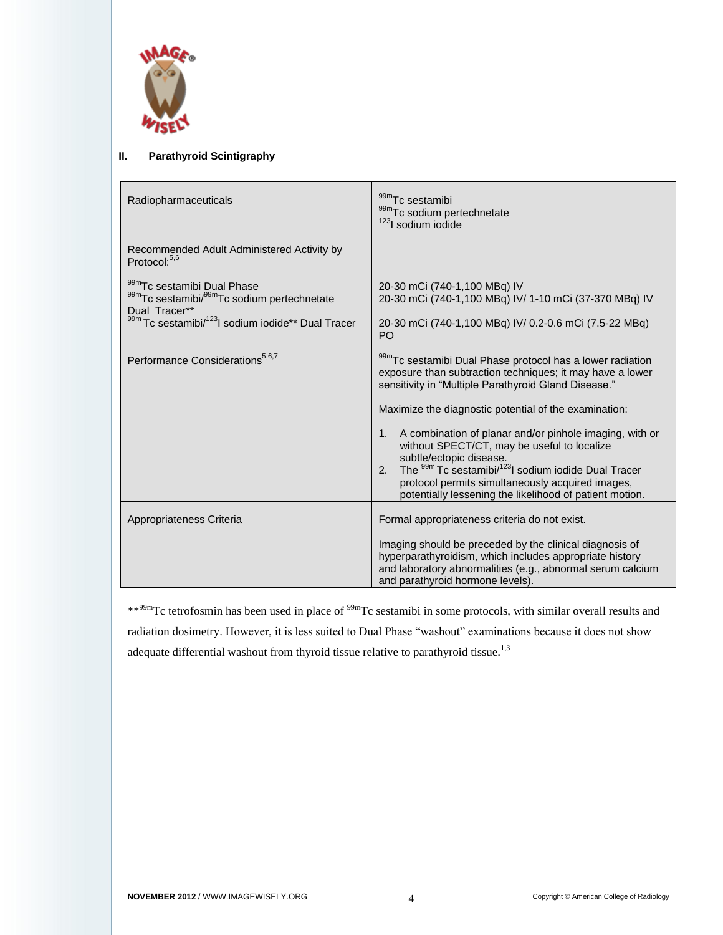

#### **II. Parathyroid Scintigraphy**

| Radiopharmaceuticals                                                                                                                                        | 99mTc sestamibi<br>99mTc sodium pertechnetate<br><sup>123</sup> l sodium iodide                                                                                                                                                                                                                                                                                                                                                                                                                                                                                                     |
|-------------------------------------------------------------------------------------------------------------------------------------------------------------|-------------------------------------------------------------------------------------------------------------------------------------------------------------------------------------------------------------------------------------------------------------------------------------------------------------------------------------------------------------------------------------------------------------------------------------------------------------------------------------------------------------------------------------------------------------------------------------|
| Recommended Adult Administered Activity by<br>Protocol: <sup>5,6</sup>                                                                                      |                                                                                                                                                                                                                                                                                                                                                                                                                                                                                                                                                                                     |
| 99mTc sestamibi Dual Phase<br>99mTc sestamibi/99mTc sodium pertechnetate<br>Dual Tracer**<br>99m Tc sestamibi/ <sup>123</sup> l sodium iodide** Dual Tracer | 20-30 mCi (740-1,100 MBq) IV<br>20-30 mCi (740-1,100 MBq) IV/ 1-10 mCi (37-370 MBq) IV<br>20-30 mCi (740-1,100 MBq) IV/ 0.2-0.6 mCi (7.5-22 MBq)<br>PO                                                                                                                                                                                                                                                                                                                                                                                                                              |
| Performance Considerations <sup>5,6,7</sup>                                                                                                                 | 99mTc sestamibi Dual Phase protocol has a lower radiation<br>exposure than subtraction techniques; it may have a lower<br>sensitivity in "Multiple Parathyroid Gland Disease."<br>Maximize the diagnostic potential of the examination:<br>1. A combination of planar and/or pinhole imaging, with or<br>without SPECT/CT, may be useful to localize<br>subtle/ectopic disease.<br>The <sup>99m</sup> Tc sestamibi/ <sup>123</sup> l sodium iodide Dual Tracer<br>2.<br>protocol permits simultaneously acquired images,<br>potentially lessening the likelihood of patient motion. |
| Appropriateness Criteria                                                                                                                                    | Formal appropriateness criteria do not exist.<br>Imaging should be preceded by the clinical diagnosis of<br>hyperparathyroidism, which includes appropriate history<br>and laboratory abnormalities (e.g., abnormal serum calcium<br>and parathyroid hormone levels).                                                                                                                                                                                                                                                                                                               |

\*\*99mTc tetrofosmin has been used in place of 99mTc sestamibi in some protocols, with similar overall results and radiation dosimetry. However, it is less suited to Dual Phase "washout" examinations because it does not show adequate differential washout from thyroid tissue relative to parathyroid tissue.<sup>1,3</sup>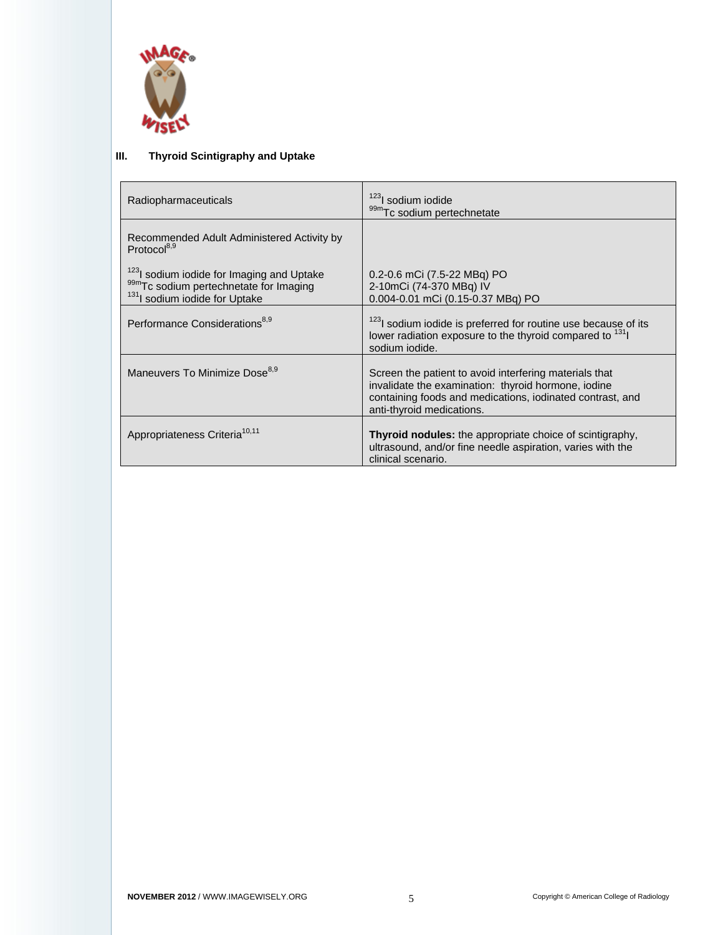

## **III. Thyroid Scintigraphy and Uptake**

| Radiopharmaceuticals                                                                                                                         | <sup>123</sup> l sodium iodide<br>99mTc sodium pertechnetate                                                                                                                                            |
|----------------------------------------------------------------------------------------------------------------------------------------------|---------------------------------------------------------------------------------------------------------------------------------------------------------------------------------------------------------|
| Recommended Adult Administered Activity by<br>Protocol <sup>8,9</sup>                                                                        |                                                                                                                                                                                                         |
| <sup>123</sup> I sodium iodide for Imaging and Uptake<br>99mTc sodium pertechnetate for Imaging<br><sup>131</sup> I sodium iodide for Uptake | 0.2-0.6 mCi (7.5-22 MBq) PO<br>2-10mCi (74-370 MBq) IV<br>0.004-0.01 mCi (0.15-0.37 MBq) PO                                                                                                             |
| Performance Considerations <sup>8,9</sup>                                                                                                    | <sup>123</sup> l sodium iodide is preferred for routine use because of its<br>lower radiation exposure to the thyroid compared to <sup>131</sup> l<br>sodium iodide.                                    |
| Maneuvers To Minimize Dose <sup>8,9</sup>                                                                                                    | Screen the patient to avoid interfering materials that<br>invalidate the examination: thyroid hormone, iodine<br>containing foods and medications, iodinated contrast, and<br>anti-thyroid medications. |
| Appropriateness Criteria <sup>10,11</sup>                                                                                                    | <b>Thyroid nodules:</b> the appropriate choice of scintigraphy,<br>ultrasound, and/or fine needle aspiration, varies with the<br>clinical scenario.                                                     |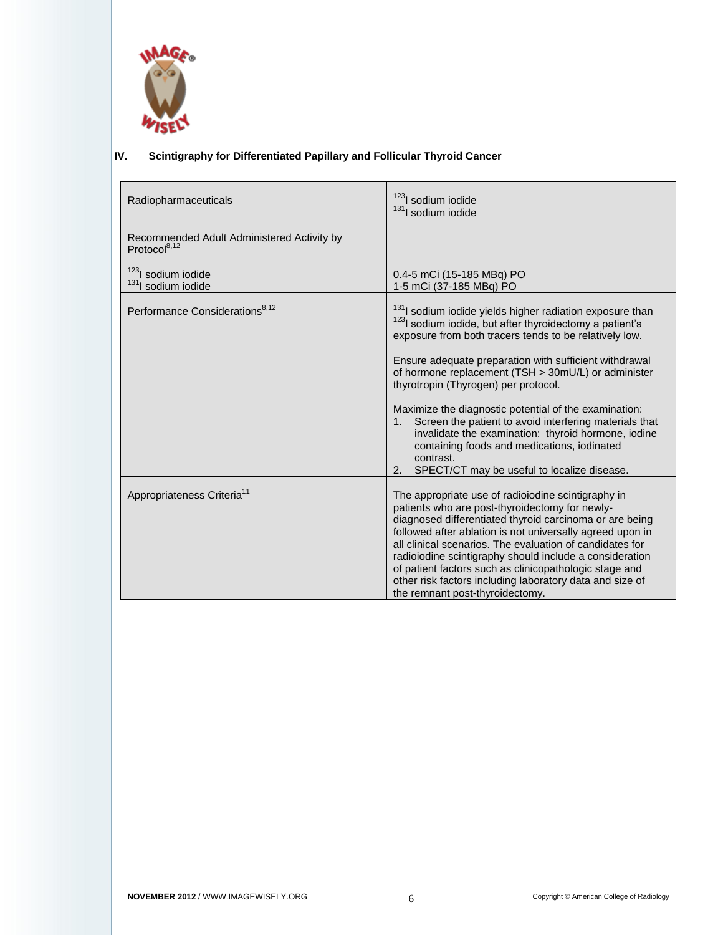

# **IV. Scintigraphy for Differentiated Papillary and Follicular Thyroid Cancer**

| Radiopharmaceuticals                                             | <sup>123</sup> l sodium iodide<br><sup>131</sup> I sodium iodide                                                                                                                                                                                                                                                                                                                                                                                                                                                                                                                                           |
|------------------------------------------------------------------|------------------------------------------------------------------------------------------------------------------------------------------------------------------------------------------------------------------------------------------------------------------------------------------------------------------------------------------------------------------------------------------------------------------------------------------------------------------------------------------------------------------------------------------------------------------------------------------------------------|
| Recommended Adult Administered Activity by<br>Protocol $^{8,12}$ |                                                                                                                                                                                                                                                                                                                                                                                                                                                                                                                                                                                                            |
| <sup>123</sup> l sodium iodide<br><sup>131</sup> sodium iodide   | 0.4-5 mCi (15-185 MBq) PO<br>1-5 mCi (37-185 MBq) PO                                                                                                                                                                                                                                                                                                                                                                                                                                                                                                                                                       |
| Performance Considerations <sup>8,12</sup>                       | <sup>131</sup> I sodium iodide yields higher radiation exposure than<br><sup>123</sup> l sodium iodide, but after thyroidectomy a patient's<br>exposure from both tracers tends to be relatively low.<br>Ensure adequate preparation with sufficient withdrawal<br>of hormone replacement (TSH > 30mU/L) or administer<br>thyrotropin (Thyrogen) per protocol.<br>Maximize the diagnostic potential of the examination:<br>Screen the patient to avoid interfering materials that<br>1.<br>invalidate the examination: thyroid hormone, iodine<br>containing foods and medications, iodinated<br>contrast. |
| Appropriateness Criteria <sup>11</sup>                           | SPECT/CT may be useful to localize disease.<br>2.<br>The appropriate use of radioiodine scintigraphy in<br>patients who are post-thyroidectomy for newly-<br>diagnosed differentiated thyroid carcinoma or are being<br>followed after ablation is not universally agreed upon in<br>all clinical scenarios. The evaluation of candidates for<br>radioiodine scintigraphy should include a consideration<br>of patient factors such as clinicopathologic stage and<br>other risk factors including laboratory data and size of<br>the remnant post-thyroidectomy.                                          |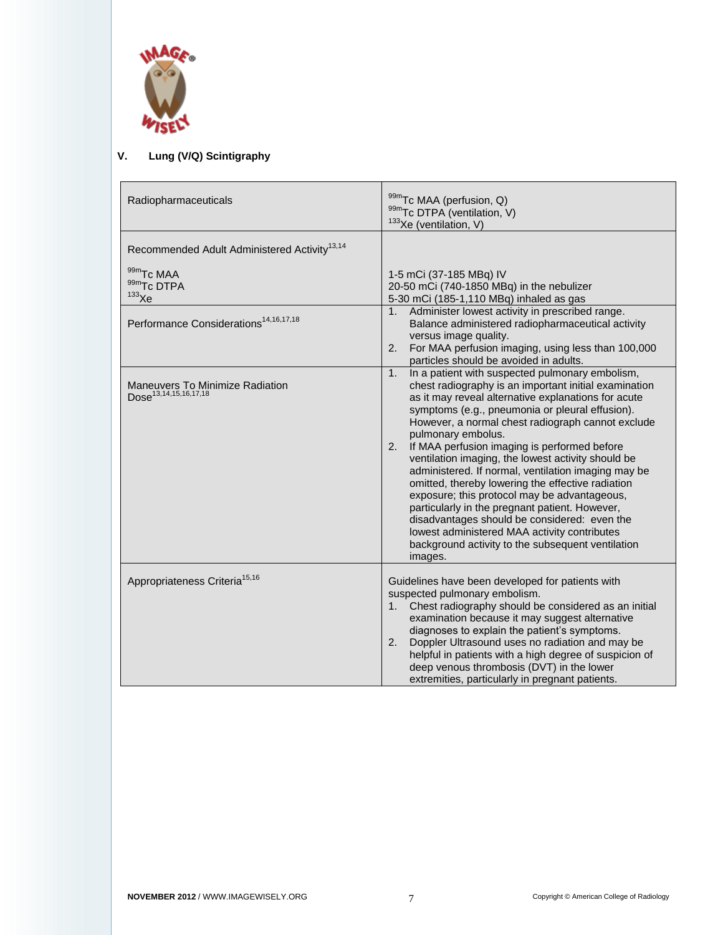

## **V. Lung (V/Q) Scintigraphy**

| Radiopharmaceuticals                                                 | 99mTc MAA (perfusion, Q)<br>99mTc DTPA (ventilation, V)<br>$133$ Xe (ventilation, V)                                                                                                                                                                                                                                                                                                                                                                                                                                                                                                                                                                                                                                                                                                          |
|----------------------------------------------------------------------|-----------------------------------------------------------------------------------------------------------------------------------------------------------------------------------------------------------------------------------------------------------------------------------------------------------------------------------------------------------------------------------------------------------------------------------------------------------------------------------------------------------------------------------------------------------------------------------------------------------------------------------------------------------------------------------------------------------------------------------------------------------------------------------------------|
| Recommended Adult Administered Activity <sup>13,14</sup>             |                                                                                                                                                                                                                                                                                                                                                                                                                                                                                                                                                                                                                                                                                                                                                                                               |
| 99m <sub>Tc</sub> MAA<br>99mTc DTPA<br>$133$ Xe                      | 1-5 mCi (37-185 MBq) IV<br>20-50 mCi (740-1850 MBq) in the nebulizer<br>5-30 mCi (185-1,110 MBq) inhaled as gas<br>1. Administer lowest activity in prescribed range.                                                                                                                                                                                                                                                                                                                                                                                                                                                                                                                                                                                                                         |
| Performance Considerations <sup>14,16,17,18</sup>                    | Balance administered radiopharmaceutical activity<br>versus image quality.<br>For MAA perfusion imaging, using less than 100,000<br>2.<br>particles should be avoided in adults.                                                                                                                                                                                                                                                                                                                                                                                                                                                                                                                                                                                                              |
| Maneuvers To Minimize Radiation<br>Dose <sup>13,14,15,16,17,18</sup> | In a patient with suspected pulmonary embolism,<br>1.<br>chest radiography is an important initial examination<br>as it may reveal alternative explanations for acute<br>symptoms (e.g., pneumonia or pleural effusion).<br>However, a normal chest radiograph cannot exclude<br>pulmonary embolus.<br>If MAA perfusion imaging is performed before<br>2.<br>ventilation imaging, the lowest activity should be<br>administered. If normal, ventilation imaging may be<br>omitted, thereby lowering the effective radiation<br>exposure; this protocol may be advantageous,<br>particularly in the pregnant patient. However,<br>disadvantages should be considered: even the<br>lowest administered MAA activity contributes<br>background activity to the subsequent ventilation<br>images. |
| Appropriateness Criteria <sup>15,16</sup>                            | Guidelines have been developed for patients with<br>suspected pulmonary embolism.<br>1. Chest radiography should be considered as an initial<br>examination because it may suggest alternative<br>diagnoses to explain the patient's symptoms.<br>Doppler Ultrasound uses no radiation and may be<br>2.<br>helpful in patients with a high degree of suspicion of<br>deep venous thrombosis (DVT) in the lower<br>extremities, particularly in pregnant patients.                                                                                                                                                                                                                                                                                                                             |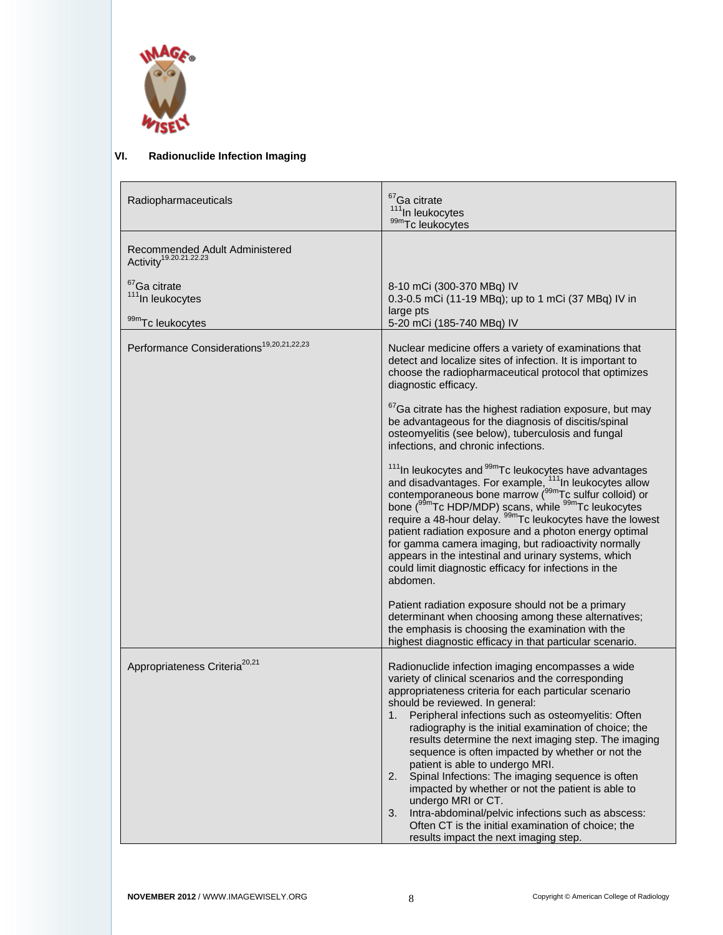

## **VI. Radionuclide Infection Imaging**

| Radiopharmaceuticals                                                         | $67$ Ga citrate<br><sup>111</sup> In leukocytes<br>99mTc leukocytes                                                                                                                                                                                                                                                                                                                                                                                                                                                                                                                                                                                                                                                                                                                                                                                                                                                                                                                                                                          |
|------------------------------------------------------------------------------|----------------------------------------------------------------------------------------------------------------------------------------------------------------------------------------------------------------------------------------------------------------------------------------------------------------------------------------------------------------------------------------------------------------------------------------------------------------------------------------------------------------------------------------------------------------------------------------------------------------------------------------------------------------------------------------------------------------------------------------------------------------------------------------------------------------------------------------------------------------------------------------------------------------------------------------------------------------------------------------------------------------------------------------------|
| Recommended Adult Administered<br>Activity <sup>19.20.21.22.23</sup>         |                                                                                                                                                                                                                                                                                                                                                                                                                                                                                                                                                                                                                                                                                                                                                                                                                                                                                                                                                                                                                                              |
| <sup>67</sup> Ga citrate<br><sup>111</sup> In leukocytes<br>99mTc leukocytes | 8-10 mCi (300-370 MBq) IV<br>0.3-0.5 mCi (11-19 MBq); up to 1 mCi (37 MBq) IV in<br>large pts<br>5-20 mCi (185-740 MBq) IV                                                                                                                                                                                                                                                                                                                                                                                                                                                                                                                                                                                                                                                                                                                                                                                                                                                                                                                   |
| Performance Considerations <sup>19,20,21,22,23</sup>                         | Nuclear medicine offers a variety of examinations that<br>detect and localize sites of infection. It is important to<br>choose the radiopharmaceutical protocol that optimizes<br>diagnostic efficacy.<br><sup>67</sup> Ga citrate has the highest radiation exposure, but may<br>be advantageous for the diagnosis of discitis/spinal<br>osteomyelitis (see below), tuberculosis and fungal<br>infections, and chronic infections.<br><sup>111</sup> In leukocytes and $99m$ Tc leukocytes have advantages<br>and disadvantages. For example, $111$ In leukocytes allow<br>contemporaneous bone marrow ( $99m$ Tc sulfur colloid) or<br>bone ( <sup>99m</sup> Tc HDP/MDP) scans, while <sup>99m</sup> Tc leukocytes<br>require a 48-hour delay. <sup>99m</sup> Tc leukocytes have the lowest<br>patient radiation exposure and a photon energy optimal<br>for gamma camera imaging, but radioactivity normally<br>appears in the intestinal and urinary systems, which<br>could limit diagnostic efficacy for infections in the<br>abdomen. |
|                                                                              | Patient radiation exposure should not be a primary<br>determinant when choosing among these alternatives;<br>the emphasis is choosing the examination with the<br>highest diagnostic efficacy in that particular scenario.                                                                                                                                                                                                                                                                                                                                                                                                                                                                                                                                                                                                                                                                                                                                                                                                                   |
| Appropriateness Criteria <sup>20,21</sup>                                    | Radionuclide infection imaging encompasses a wide<br>variety of clinical scenarios and the corresponding<br>appropriateness criteria for each particular scenario<br>should be reviewed. In general:<br>1.<br>Peripheral infections such as osteomyelitis: Often<br>radiography is the initial examination of choice; the<br>results determine the next imaging step. The imaging<br>sequence is often impacted by whether or not the<br>patient is able to undergo MRI.<br>Spinal Infections: The imaging sequence is often<br>2.<br>impacted by whether or not the patient is able to<br>undergo MRI or CT.<br>Intra-abdominal/pelvic infections such as abscess:<br>3.<br>Often CT is the initial examination of choice; the<br>results impact the next imaging step.                                                                                                                                                                                                                                                                     |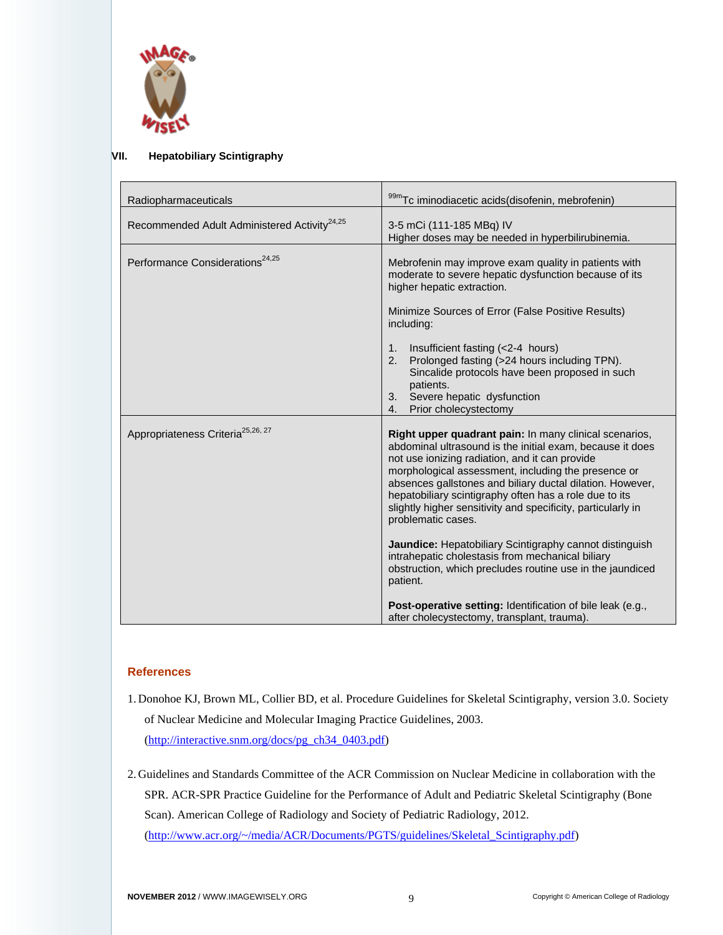

#### **VII. Hepatobiliary Scintigraphy**

| Radiopharmaceuticals                                     | 99mTc iminodiacetic acids(disofenin, mebrofenin)                                                                                                                                                                                                                                                                                                                                                                                                                                                                                                                                                                                                                                                                                                      |
|----------------------------------------------------------|-------------------------------------------------------------------------------------------------------------------------------------------------------------------------------------------------------------------------------------------------------------------------------------------------------------------------------------------------------------------------------------------------------------------------------------------------------------------------------------------------------------------------------------------------------------------------------------------------------------------------------------------------------------------------------------------------------------------------------------------------------|
| Recommended Adult Administered Activity <sup>24,25</sup> | 3-5 mCi (111-185 MBq) IV<br>Higher doses may be needed in hyperbilirubinemia.                                                                                                                                                                                                                                                                                                                                                                                                                                                                                                                                                                                                                                                                         |
| Performance Considerations <sup>24,25</sup>              | Mebrofenin may improve exam quality in patients with<br>moderate to severe hepatic dysfunction because of its<br>higher hepatic extraction.<br>Minimize Sources of Error (False Positive Results)<br>including:<br>Insufficient fasting (<2-4 hours)<br>1.<br>Prolonged fasting (>24 hours including TPN).<br>2.<br>Sincalide protocols have been proposed in such<br>patients.<br>3. Severe hepatic dysfunction<br>Prior cholecystectomy<br>4.                                                                                                                                                                                                                                                                                                       |
| Appropriateness Criteria <sup>25,26, 27</sup>            | Right upper quadrant pain: In many clinical scenarios,<br>abdominal ultrasound is the initial exam, because it does<br>not use ionizing radiation, and it can provide<br>morphological assessment, including the presence or<br>absences gallstones and biliary ductal dilation. However,<br>hepatobiliary scintigraphy often has a role due to its<br>slightly higher sensitivity and specificity, particularly in<br>problematic cases.<br><b>Jaundice:</b> Hepatobiliary Scintigraphy cannot distinguish<br>intrahepatic cholestasis from mechanical biliary<br>obstruction, which precludes routine use in the jaundiced<br>patient.<br>Post-operative setting: Identification of bile leak (e.g.,<br>after cholecystectomy, transplant, trauma). |

#### **References**

- 1. Donohoe KJ, Brown ML, Collier BD, et al. Procedure Guidelines for Skeletal Scintigraphy, version 3.0. Society of Nuclear Medicine and Molecular Imaging Practice Guidelines, 2003. [\(http://interactive.snm.org/docs/pg\\_ch34\\_0403.pdf\)](http://interactive.snm.org/docs/pg_ch34_0403.pdf)
- 2. Guidelines and Standards Committee of the ACR Commission on Nuclear Medicine in collaboration with the SPR. ACR-SPR Practice Guideline for the Performance of Adult and Pediatric Skeletal Scintigraphy (Bone Scan). American College of Radiology and Society of Pediatric Radiology, 2012. [\(http://www.acr.org/~/media/ACR/Documents/PGTS/guidelines/Skeletal\\_Scintigraphy.pdf\)](http://www.acr.org/~/media/ACR/Documents/PGTS/guidelines/Skeletal_Scintigraphy.pdf)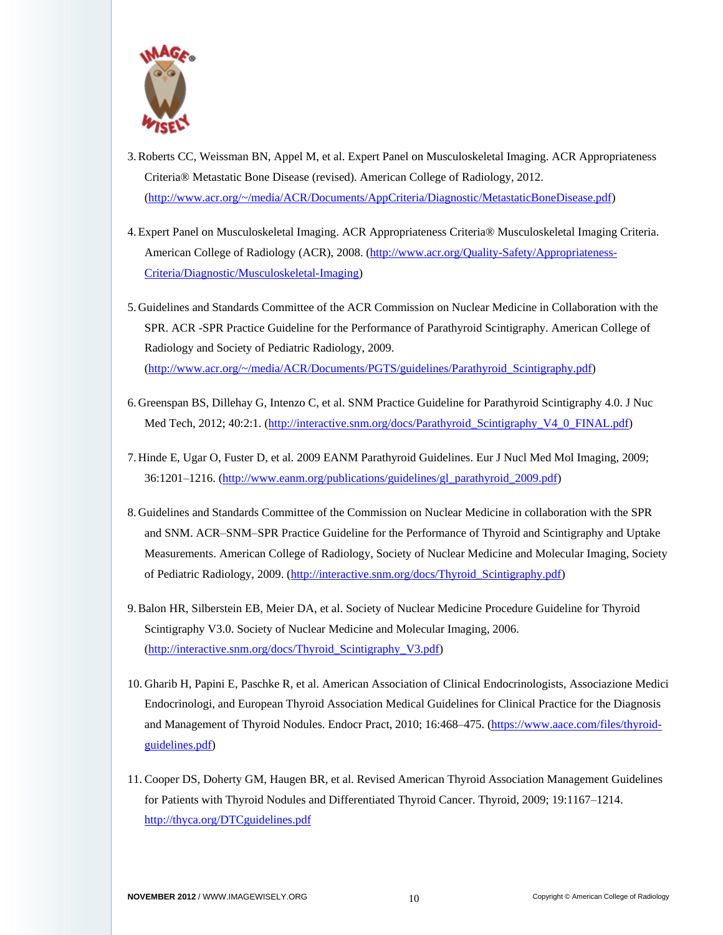

- 3.Roberts CC, Weissman BN, Appel M, et al. Expert Panel on Musculoskeletal Imaging. ACR Appropriateness Criteria® Metastatic Bone Disease (revised). American College of Radiology, 2012. [\(http://www.acr.org/~/media/ACR/Documents/AppCriteria/Diagnostic/MetastaticBoneDisease.pdf\)](http://www.acr.org/~/media/ACR/Documents/AppCriteria/Diagnostic/MetastaticBoneDisease.pdf)
- 4.Expert Panel on Musculoskeletal Imaging. ACR Appropriateness Criteria® Musculoskeletal Imaging Criteria. American College of Radiology (ACR), 2008. [\(http://www.acr.org/Quality-Safety/Appropriateness-](http://www.acr.org/Quality-Safety/Appropriateness-Criteria/Diagnostic/Musculoskeletal-Imaging)[Criteria/Diagnostic/Musculoskeletal-Imaging\)](http://www.acr.org/Quality-Safety/Appropriateness-Criteria/Diagnostic/Musculoskeletal-Imaging)
- 5. Guidelines and Standards Committee of the ACR Commission on Nuclear Medicine in Collaboration with the SPR. ACR -SPR Practice Guideline for the Performance of Parathyroid Scintigraphy. American College of Radiology and Society of Pediatric Radiology, 2009. [\(http://www.acr.org/~/media/ACR/Documents/PGTS/guidelines/Parathyroid\\_Scintigraphy.pdf\)](http://www.acr.org/~/media/ACR/Documents/PGTS/guidelines/Parathyroid_Scintigraphy.pdf)
- 6. Greenspan BS, Dillehay G, Intenzo C, et al. SNM Practice Guideline for Parathyroid Scintigraphy 4.0. J Nuc Med Tech, 2012; 40:2:1. [\(http://interactive.snm.org/docs/Parathyroid\\_Scintigraphy\\_V4\\_0\\_FINAL.pdf\)](http://interactive.snm.org/docs/Parathyroid_Scintigraphy_V4_0_FINAL.pdf)
- 7. Hinde E, Ugar O, Fuster D, et al. 2009 EANM Parathyroid Guidelines. Eur J Nucl Med Mol Imaging, 2009; 36:1201–1216. [\(http://www.eanm.org/publications/guidelines/gl\\_parathyroid\\_2009.pdf\)](http://www.eanm.org/publications/guidelines/gl_parathyroid_2009.pdf)
- 8. Guidelines and Standards Committee of the Commission on Nuclear Medicine in collaboration with the SPR and SNM. ACR–SNM–SPR Practice Guideline for the Performance of Thyroid and Scintigraphy and Uptake Measurements. American College of Radiology, Society of Nuclear Medicine and Molecular Imaging, Society of Pediatric Radiology, 2009. [\(http://interactive.snm.org/docs/Thyroid\\_Scintigraphy.pdf\)](http://interactive.snm.org/docs/Thyroid_Scintigraphy.pdf)
- 9.Balon HR, Silberstein EB, Meier DA, et al. Society of Nuclear Medicine Procedure Guideline for Thyroid Scintigraphy V3.0. Society of Nuclear Medicine and Molecular Imaging, 2006. [\(http://interactive.snm.org/docs/Thyroid\\_Scintigraphy\\_V3.pdf\)](http://interactive.snm.org/docs/Thyroid_Scintigraphy_V3.pdf)
- 10. Gharib H, Papini E, Paschke R, et al. American Association of Clinical Endocrinologists, Associazione Medici Endocrinologi, and European Thyroid Association Medical Guidelines for Clinical Practice for the Diagnosis and Management of Thyroid Nodules. Endocr Pract, 2010; 16:468–475. [\(https://www.aace.com/files/thyroid](https://www.aace.com/files/thyroid-guidelines.pdf)[guidelines.pdf\)](https://www.aace.com/files/thyroid-guidelines.pdf)
- 11. Cooper DS, Doherty GM, Haugen BR, et al. Revised American Thyroid Association Management Guidelines for Patients with Thyroid Nodules and Differentiated Thyroid Cancer. Thyroid, 2009; 19:1167–1214. <http://thyca.org/DTCguidelines.pdf>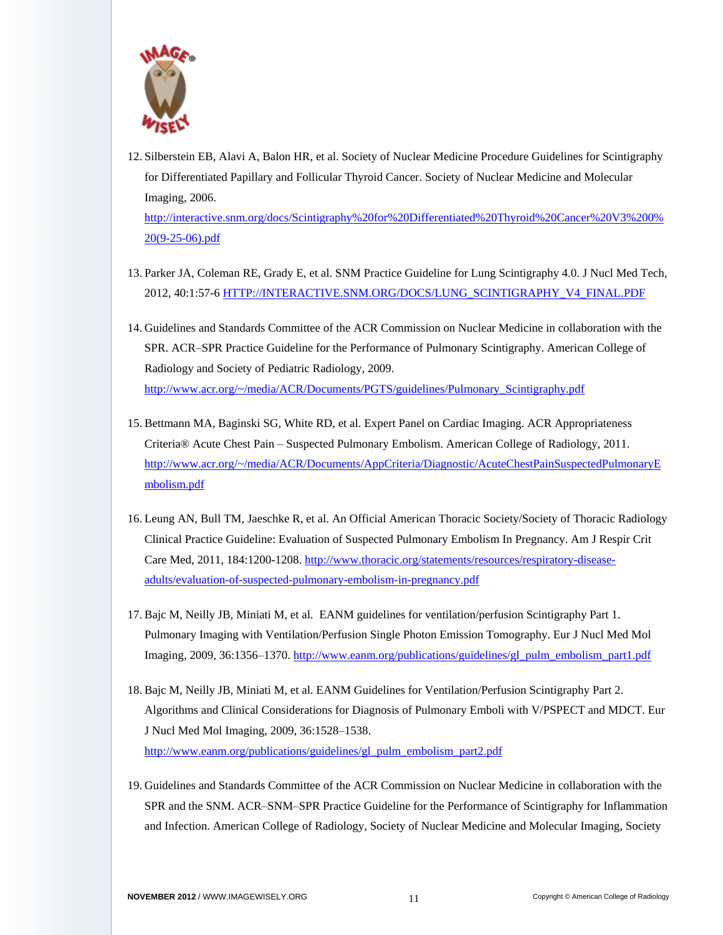

- 12. Silberstein EB, Alavi A, Balon HR, et al. Society of Nuclear Medicine Procedure Guidelines for Scintigraphy for Differentiated Papillary and Follicular Thyroid Cancer. Society of Nuclear Medicine and Molecular Imaging, 2006. [http://interactive.snm.org/docs/Scintigraphy%20for%20Differentiated%20Thyroid%20Cancer%20V3%200%](http://interactive.snm.org/docs/Scintigraphy%20for%20Differentiated%20Thyroid%20Cancer%20V3%200%20(9-25-06).pdf) [20\(9-25-06\).pdf](http://interactive.snm.org/docs/Scintigraphy%20for%20Differentiated%20Thyroid%20Cancer%20V3%200%20(9-25-06).pdf)
- 13. Parker JA, Coleman RE, Grady E, et al. SNM Practice Guideline for Lung Scintigraphy 4.0. J Nucl Med Tech, 2012, 40:1:57-6 [HTTP://INTERACTIVE.SNM.ORG/DOCS/LUNG\\_SCINTIGRAPHY\\_V4\\_FINAL.PDF](http://interactive.snm.org/DOCS/LUNG_SCINTIGRAPHY_V4_FINAL.PDF)
- 14. Guidelines and Standards Committee of the ACR Commission on Nuclear Medicine in collaboration with the SPR. ACR–SPR Practice Guideline for the Performance of Pulmonary Scintigraphy. American College of Radiology and Society of Pediatric Radiology, 2009. [http://www.acr.org/~/media/ACR/Documents/PGTS/guidelines/Pulmonary\\_Scintigraphy.pdf](http://www.acr.org/~/media/ACR/Documents/PGTS/guidelines/Pulmonary_Scintigraphy.pdf)
- 15. Bettmann MA, Baginski SG, White RD, et al. Expert Panel on Cardiac Imaging. ACR Appropriateness Criteria® Acute Chest Pain – Suspected Pulmonary Embolism. American College of Radiology, 2011. [http://www.acr.org/~/media/ACR/Documents/AppCriteria/Diagnostic/AcuteChestPainSuspectedPulmonaryE](http://www.acr.org/~/media/ACR/Documents/AppCriteria/Diagnostic/AcuteChestPainSuspectedPulmonaryEmbolism.pdf) [mbolism.pdf](http://www.acr.org/~/media/ACR/Documents/AppCriteria/Diagnostic/AcuteChestPainSuspectedPulmonaryEmbolism.pdf)
- 16. Leung AN, Bull TM, Jaeschke R, et al. An Official American Thoracic Society/Society of Thoracic Radiology Clinical Practice Guideline: Evaluation of Suspected Pulmonary Embolism In Pregnancy. Am J Respir Crit Care Med, 2011, 184:1200-1208. [http://www.thoracic.org/statements/resources/respiratory-disease](http://www.thoracic.org/statements/resources/respiratory-disease-adults/evaluation-of-suspected-pulmonary-embolism-in-pregnancy.pdf)[adults/evaluation-of-suspected-pulmonary-embolism-in-pregnancy.pdf](http://www.thoracic.org/statements/resources/respiratory-disease-adults/evaluation-of-suspected-pulmonary-embolism-in-pregnancy.pdf)
- 17. Bajc M, Neilly JB, Miniati M, et al. EANM guidelines for ventilation/perfusion Scintigraphy Part 1. Pulmonary Imaging with Ventilation/Perfusion Single Photon Emission Tomography. Eur J Nucl Med Mol Imaging, 2009, 36:1356–1370[. http://www.eanm.org/publications/guidelines/gl\\_pulm\\_embolism\\_part1.pdf](http://www.eanm.org/publications/guidelines/gl_pulm_embolism_part1.pdf)
- 18. Bajc M, Neilly JB, Miniati M, et al. EANM Guidelines for Ventilation/Perfusion Scintigraphy Part 2. Algorithms and Clinical Considerations for Diagnosis of Pulmonary Emboli with V/PSPECT and MDCT. Eur J Nucl Med Mol Imaging, 2009, 36:1528–1538. [http://www.eanm.org/publications/guidelines/gl\\_pulm\\_embolism\\_part2.pdf](http://www.eanm.org/publications/guidelines/gl_pulm_embolism_part2.pdf)
- 19. Guidelines and Standards Committee of the ACR Commission on Nuclear Medicine in collaboration with the SPR and the SNM. ACR–SNM–SPR Practice Guideline for the Performance of Scintigraphy for Inflammation and Infection. American College of Radiology, Society of Nuclear Medicine and Molecular Imaging, Society